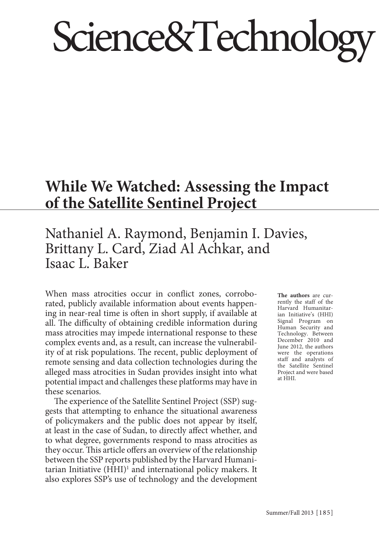## Science&Technology

## **While We Watched: Assessing the Impact of the Satellite Sentinel Project**

## Nathaniel A. Raymond, Benjamin I. Davies, Brittany L. Card, Ziad Al Achkar, and Isaac L. Baker

When mass atrocities occur in conflict zones, corroborated, publicly available information about events happening in near-real time is often in short supply, if available at all. The difficulty of obtaining credible information during mass atrocities may impede international response to these complex events and, as a result, can increase the vulnerability of at risk populations. The recent, public deployment of remote sensing and data collection technologies during the alleged mass atrocities in Sudan provides insight into what potential impact and challenges these platforms may have in these scenarios.

The experience of the Satellite Sentinel Project (SSP) suggests that attempting to enhance the situational awareness of policymakers and the public does not appear by itself, at least in the case of Sudan, to directly affect whether, and to what degree, governments respond to mass atrocities as they occur. This article offers an overview of the relationship between the SSP reports published by the Harvard Humanitarian Initiative (HHI)<sup>1</sup> and international policy makers. It also explores SSP's use of technology and the development

**The authors** are currently the staff of the Harvard Humanitarian Initiative's (HHI) Signal Program on Human Security and Technology. Between December 2010 and June 2012, the authors were the operations staff and analysts of the Satellite Sentinel Project and were based at HHI.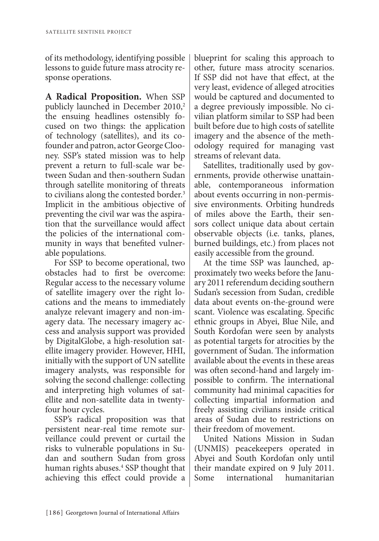of its methodology, identifying possible lessons to guide future mass atrocity response operations.

**A Radical Proposition.** When SSP publicly launched in December  $2010<sub>1</sub><sup>2</sup>$ the ensuing headlines ostensibly focused on two things: the application of technology (satellites), and its cofounder and patron, actor George Clooney. SSP's stated mission was to help prevent a return to full-scale war between Sudan and then-southern Sudan through satellite monitoring of threats to civilians along the contested border.<sup>3</sup> Implicit in the ambitious objective of preventing the civil war was the aspiration that the surveillance would affect the policies of the international community in ways that benefited vulnerable populations.

For SSP to become operational, two obstacles had to first be overcome: Regular access to the necessary volume of satellite imagery over the right locations and the means to immediately analyze relevant imagery and non-imagery data. The necessary imagery access and analysis support was provided by DigitalGlobe, a high-resolution satellite imagery provider. However, HHI, initially with the support of UN satellite imagery analysts, was responsible for solving the second challenge: collecting and interpreting high volumes of satellite and non-satellite data in twentyfour hour cycles.

SSP's radical proposition was that persistent near-real time remote surveillance could prevent or curtail the risks to vulnerable populations in Sudan and southern Sudan from gross human rights abuses.4 SSP thought that achieving this effect could provide a

blueprint for scaling this approach to other, future mass atrocity scenarios. If SSP did not have that effect, at the very least, evidence of alleged atrocities would be captured and documented to a degree previously impossible. No civilian platform similar to SSP had been built before due to high costs of satellite imagery and the absence of the methodology required for managing vast streams of relevant data.

Satellites, traditionally used by governments, provide otherwise unattainable, contemporaneous information about events occurring in non-permissive environments. Orbiting hundreds of miles above the Earth, their sensors collect unique data about certain observable objects (i.e. tanks, planes, burned buildings, etc.) from places not easily accessible from the ground.

At the time SSP was launched, approximately two weeks before the January 2011 referendum deciding southern Sudan's secession from Sudan, credible data about events on-the-ground were scant. Violence was escalating. Specific ethnic groups in Abyei, Blue Nile, and South Kordofan were seen by analysts as potential targets for atrocities by the government of Sudan. The information available about the events in these areas was often second-hand and largely impossible to confirm. The international community had minimal capacities for collecting impartial information and freely assisting civilians inside critical areas of Sudan due to restrictions on their freedom of movement.

United Nations Mission in Sudan (UNMIS) peacekeepers operated in Abyei and South Kordofan only until their mandate expired on 9 July 2011. Some international humanitarian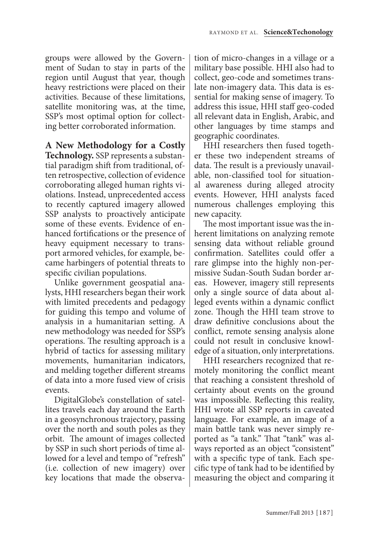groups were allowed by the Government of Sudan to stay in parts of the region until August that year, though heavy restrictions were placed on their activities. Because of these limitations, satellite monitoring was, at the time, SSP's most optimal option for collecting better corroborated information.

**A New Methodology for a Costly Technology.** SSP represents a substantial paradigm shift from traditional, often retrospective, collection of evidence corroborating alleged human rights violations. Instead, unprecedented access to recently captured imagery allowed SSP analysts to proactively anticipate some of these events. Evidence of enhanced fortifications or the presence of heavy equipment necessary to transport armored vehicles, for example, became harbingers of potential threats to specific civilian populations.

Unlike government geospatial analysts, HHI researchers began their work with limited precedents and pedagogy for guiding this tempo and volume of analysis in a humanitarian setting. A new methodology was needed for SSP's operations. The resulting approach is a hybrid of tactics for assessing military movements, humanitarian indicators, and melding together different streams of data into a more fused view of crisis events.

DigitalGlobe's constellation of satellites travels each day around the Earth in a geosynchronous trajectory, passing over the north and south poles as they orbit. The amount of images collected by SSP in such short periods of time allowed for a level and tempo of "refresh" (i.e. collection of new imagery) over key locations that made the observation of micro-changes in a village or a military base possible. HHI also had to collect, geo-code and sometimes translate non-imagery data. This data is essential for making sense of imagery. To address this issue, HHI staff geo-coded all relevant data in English, Arabic, and other languages by time stamps and geographic coordinates.

HHI researchers then fused together these two independent streams of data. The result is a previously unavailable, non-classified tool for situational awareness during alleged atrocity events. However, HHI analysts faced numerous challenges employing this new capacity.

The most important issue was the inherent limitations on analyzing remote sensing data without reliable ground confirmation. Satellites could offer a rare glimpse into the highly non-permissive Sudan-South Sudan border areas. However, imagery still represents only a single source of data about alleged events within a dynamic conflict zone. Though the HHI team strove to draw definitive conclusions about the conflict, remote sensing analysis alone could not result in conclusive knowledge of a situation, only interpretations.

HHI researchers recognized that remotely monitoring the conflict meant that reaching a consistent threshold of certainty about events on the ground was impossible. Reflecting this reality, HHI wrote all SSP reports in caveated language. For example, an image of a main battle tank was never simply reported as "a tank." That "tank" was always reported as an object "consistent" with a specific type of tank. Each specific type of tank had to be identified by measuring the object and comparing it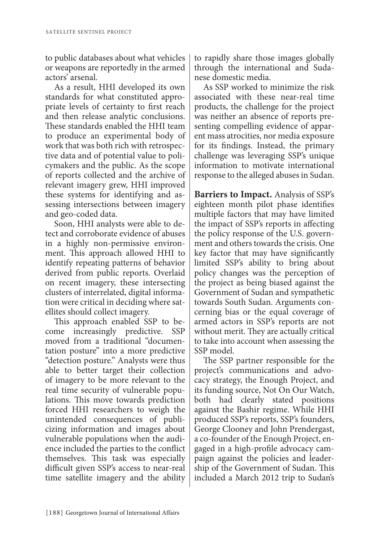to public databases about what vehicles or weapons are reportedly in the armed actors' arsenal.

As a result, HHI developed its own standards for what constituted appropriate levels of certainty to first reach and then release analytic conclusions. These standards enabled the HHI team to produce an experimental body of work that was both rich with retrospective data and of potential value to policymakers and the public. As the scope of reports collected and the archive of relevant imagery grew, HHI improved these systems for identifying and assessing intersections between imagery and geo-coded data.

Soon, HHI analysts were able to detect and corroborate evidence of abuses in a highly non-permissive environment. This approach allowed HHI to identify repeating patterns of behavior derived from public reports. Overlaid on recent imagery, these intersecting clusters of interrelated, digital information were critical in deciding where satellites should collect imagery.

This approach enabled SSP to become increasingly predictive. SSP moved from a traditional "documentation posture" into a more predictive "detection posture." Analysts were thus able to better target their collection of imagery to be more relevant to the real time security of vulnerable populations. This move towards prediction forced HHI researchers to weigh the unintended consequences of publicizing information and images about vulnerable populations when the audience included the parties to the conflict themselves. This task was especially difficult given SSP's access to near-real time satellite imagery and the ability

to rapidly share those images globally through the international and Sudanese domestic media.

As SSP worked to minimize the risk associated with these near-real time products, the challenge for the project was neither an absence of reports presenting compelling evidence of apparent mass atrocities, nor media exposure for its findings. Instead, the primary challenge was leveraging SSP's unique information to motivate international response to the alleged abuses in Sudan.

**Barriers to Impact.** Analysis of SSP's eighteen month pilot phase identifies multiple factors that may have limited the impact of SSP's reports in affecting the policy response of the U.S. government and others towards the crisis. One key factor that may have significantly limited SSP's ability to bring about policy changes was the perception of the project as being biased against the Government of Sudan and sympathetic towards South Sudan. Arguments concerning bias or the equal coverage of armed actors in SSP's reports are not without merit. They are actually critical to take into account when assessing the SSP model.

The SSP partner responsible for the project's communications and advocacy strategy, the Enough Project, and its funding source, Not On Our Watch, both had clearly stated positions against the Bashir regime. While HHI produced SSP's reports, SSP's founders, George Clooney and John Prendergast, a co-founder of the Enough Project, engaged in a high-profile advocacy campaign against the policies and leadership of the Government of Sudan. This included a March 2012 trip to Sudan's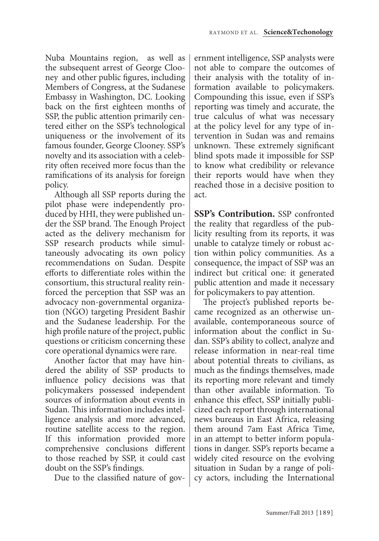Nuba Mountains region, as well as the subsequent arrest of George Clooney and other public figures, including Members of Congress, at the Sudanese Embassy in Washington, DC. Looking back on the first eighteen months of SSP, the public attention primarily centered either on the SSP's technological uniqueness or the involvement of its famous founder, George Clooney. SSP's novelty and its association with a celebrity often received more focus than the ramifications of its analysis for foreign policy.

Although all SSP reports during the pilot phase were independently produced by HHI, they were published under the SSP brand. The Enough Project acted as the delivery mechanism for SSP research products while simultaneously advocating its own policy recommendations on Sudan. Despite efforts to differentiate roles within the consortium, this structural reality reinforced the perception that SSP was an advocacy non-governmental organization (NGO) targeting President Bashir and the Sudanese leadership. For the high profile nature of the project, public questions or criticism concerning these core operational dynamics were rare.

Another factor that may have hindered the ability of SSP products to influence policy decisions was that policymakers possessed independent sources of information about events in Sudan. This information includes intelligence analysis and more advanced, routine satellite access to the region. If this information provided more comprehensive conclusions different to those reached by SSP, it could cast doubt on the SSP's findings.

Due to the classified nature of gov-

ernment intelligence, SSP analysts were not able to compare the outcomes of their analysis with the totality of information available to policymakers. Compounding this issue, even if SSP's reporting was timely and accurate, the true calculus of what was necessary at the policy level for any type of intervention in Sudan was and remains unknown. These extremely significant blind spots made it impossible for SSP to know what credibility or relevance their reports would have when they reached those in a decisive position to act.

**SSP's Contribution.** SSP confronted the reality that regardless of the publicity resulting from its reports, it was unable to catalyze timely or robust action within policy communities. As a consequence, the impact of SSP was an indirect but critical one: it generated public attention and made it necessary for policymakers to pay attention.

The project's published reports became recognized as an otherwise unavailable, contemporaneous source of information about the conflict in Sudan. SSP's ability to collect, analyze and release information in near-real time about potential threats to civilians, as much as the findings themselves, made its reporting more relevant and timely than other available information. To enhance this effect, SSP initially publicized each report through international news bureaus in East Africa, releasing them around 7am East Africa Time, in an attempt to better inform populations in danger. SSP's reports became a widely cited resource on the evolving situation in Sudan by a range of policy actors, including the International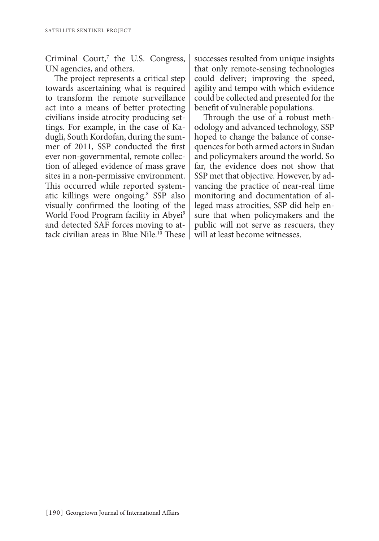Criminal Court,<sup>7</sup> the U.S. Congress, UN agencies, and others.

The project represents a critical step towards ascertaining what is required to transform the remote surveillance act into a means of better protecting civilians inside atrocity producing settings. For example, in the case of Kadugli, South Kordofan, during the summer of 2011, SSP conducted the first ever non-governmental, remote collection of alleged evidence of mass grave sites in a non-permissive environment. This occurred while reported systematic killings were ongoing.8 SSP also visually confirmed the looting of the World Food Program facility in Abyei<sup>9</sup> and detected SAF forces moving to attack civilian areas in Blue Nile.<sup>10</sup> These successes resulted from unique insights that only remote-sensing technologies could deliver; improving the speed, agility and tempo with which evidence could be collected and presented for the benefit of vulnerable populations.

Through the use of a robust methodology and advanced technology, SSP hoped to change the balance of consequences for both armed actors in Sudan and policymakers around the world. So far, the evidence does not show that SSP met that objective. However, by advancing the practice of near-real time monitoring and documentation of alleged mass atrocities, SSP did help ensure that when policymakers and the public will not serve as rescuers, they will at least become witnesses.